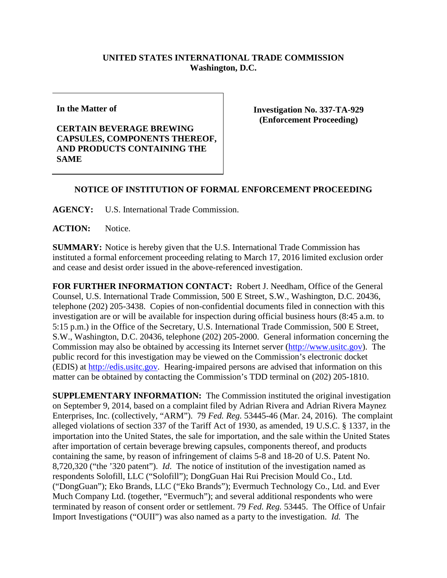## **UNITED STATES INTERNATIONAL TRADE COMMISSION Washington, D.C.**

**In the Matter of**

**CERTAIN BEVERAGE BREWING CAPSULES, COMPONENTS THEREOF, AND PRODUCTS CONTAINING THE SAME**

**Investigation No. 337-TA-929 (Enforcement Proceeding)**

## **NOTICE OF INSTITUTION OF FORMAL ENFORCEMENT PROCEEDING**

**AGENCY:** U.S. International Trade Commission.

ACTION: Notice.

**SUMMARY:** Notice is hereby given that the U.S. International Trade Commission has instituted a formal enforcement proceeding relating to March 17, 2016 limited exclusion order and cease and desist order issued in the above-referenced investigation.

**FOR FURTHER INFORMATION CONTACT:** Robert J. Needham, Office of the General Counsel, U.S. International Trade Commission, 500 E Street, S.W., Washington, D.C. 20436, telephone (202) 205-3438. Copies of non-confidential documents filed in connection with this investigation are or will be available for inspection during official business hours (8:45 a.m. to 5:15 p.m.) in the Office of the Secretary, U.S. International Trade Commission, 500 E Street, S.W., Washington, D.C. 20436, telephone (202) 205-2000. General information concerning the Commission may also be obtained by accessing its Internet server [\(http://www.usitc.gov\)](http://www.usitc.gov/). The public record for this investigation may be viewed on the Commission's electronic docket (EDIS) at [http://edis.usitc.gov.](http://edis.usitc.gov/) Hearing-impaired persons are advised that information on this matter can be obtained by contacting the Commission's TDD terminal on (202) 205-1810.

**SUPPLEMENTARY INFORMATION:** The Commission instituted the original investigation on September 9, 2014, based on a complaint filed by Adrian Rivera and Adrian Rivera Maynez Enterprises, Inc. (collectively, "ARM"). 79 *Fed. Reg.* 53445-46 (Mar. 24, 2016). The complaint alleged violations of section 337 of the Tariff Act of 1930, as amended, 19 U.S.C. § 1337, in the importation into the United States, the sale for importation, and the sale within the United States after importation of certain beverage brewing capsules, components thereof, and products containing the same, by reason of infringement of claims 5-8 and 18-20 of U.S. Patent No. 8,720,320 ("the '320 patent"). *Id*. The notice of institution of the investigation named as respondents Solofill, LLC ("Solofill"); DongGuan Hai Rui Precision Mould Co., Ltd. ("DongGuan"); Eko Brands, LLC ("Eko Brands"); Evermuch Technology Co., Ltd. and Ever Much Company Ltd. (together, "Evermuch"); and several additional respondents who were terminated by reason of consent order or settlement. 79 *Fed. Reg.* 53445. The Office of Unfair Import Investigations ("OUII") was also named as a party to the investigation. *Id.* The